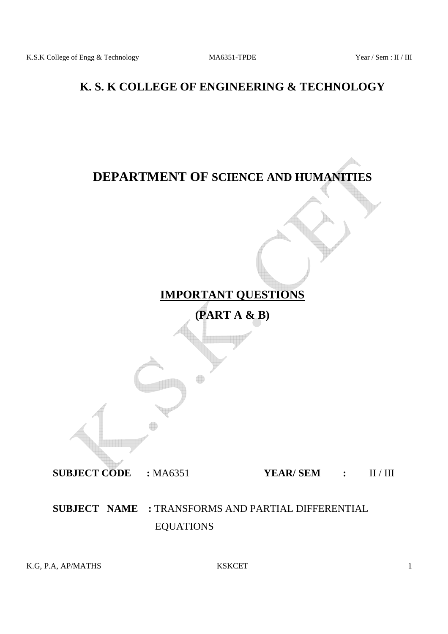# **K. S. K COLLEGE OF ENGINEERING & TECHNOLOGY**

# **DEPARTMENT OF SCIENCE AND HUMANITIES**



**(PART A & B)** 

**SUBJECT CODE :** MA6351 **YEAR/ SEM :** II / III

# **SUBJECT NAME :** TRANSFORMS AND PARTIAL DIFFERENTIAL EQUATIONS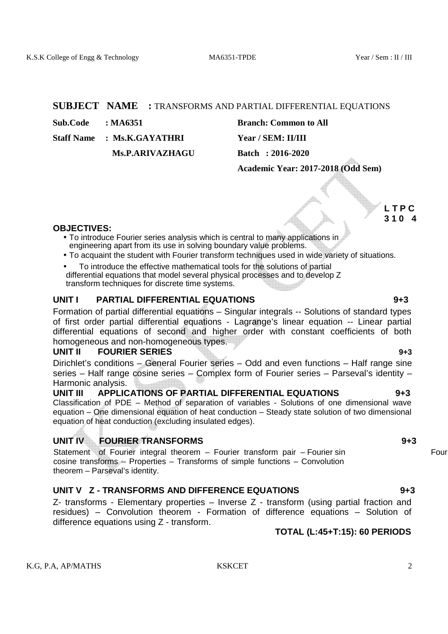#### **SUBJECT NAME :** TRANSFORMS AND PARTIAL DIFFERENTIAL EQUATIONS

**Sub.Code : MA6351 Branch: Common to All** 

 **Ms.P.ARIVAZHAGU Batch : 2016-2020** 

Staff Name : Ms.K.GAYATHRI Year / SEM: II/III

 **Academic Year: 2017-2018 (Odd Sem)** 

**L TPC 3 1 0 4**

#### **OBJECTIVES:**

- To introduce Fourier series analysis which is central to many applications in engineering apart from its use in solving boundary value problems.
- To acquaint the student with Fourier transform techniques used in wide variety of situations.
- To introduce the effective mathematical tools for the solutions of partial differential equations that model several physical processes and to develop Z transform techniques for discrete time systems.

### **UNIT I PARTIAL DIFFERENTIAL EQUATIONS 9+3**

Formation of partial differential equations – Singular integrals -- Solutions of standard types of first order partial differential equations - Lagrange's linear equation -- Linear partial differential equations of second and higher order with constant coefficients of both homogeneous and non-homogeneous types.

#### **UNIT II FOURIER SERIES 9+3**

Dirichlet's conditions – General Fourier series – Odd and even functions – Half range sine series – Half range cosine series – Complex form of Fourier series – Parseval's identity – Harmonic analysis.<br> **UNIT III** APPL IC

### **UNIT III APPLICATIONS OF PARTIAL DIFFERENTIAL EQUATIONS 9+3**

Classification of PDE – Method of separation of variables - Solutions of one dimensional wave equation – One dimensional equation of heat conduction – Steady state solution of two dimensional equation of heat conduction (excluding insulated edges).

### **UNIT IV FOURIER TRANSFORMS 9+3**

Statement of Fourier integral theorem – Fourier transform pair – Fourier sin Fourier sin cosine transforms – Properties – Transforms of simple functions – Convolution theorem – Parseval's identity.

### **UNIT V Z - TRANSFORMS AND DIFFERENCE EQUATIONS 9+3**

Z- transforms - Elementary properties – Inverse Z - transform (using partial fraction and residues) – Convolution theorem - Formation of difference equations – Solution of difference equations using Z - transform.

# **TOTAL (L:45+T:15): 60 PERIODS**

K.G. P.A. AP/MATHS 2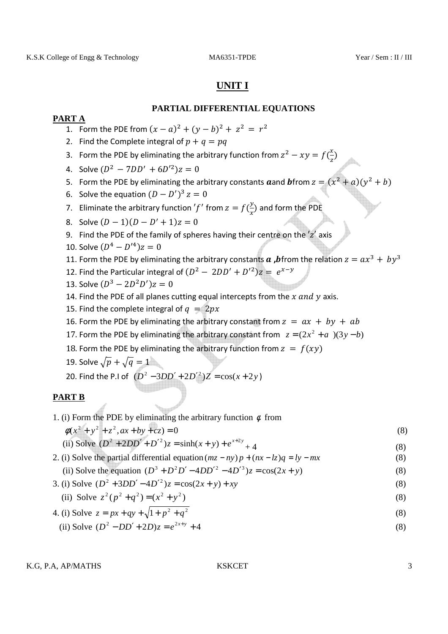## **UNIT I**

### **PARTIAL DIFFERENTIAL EQUATIONS**

### **PART A**

- 1. Form the PDE from  $(x a)^2 + (y b)^2 + z^2 = r^2$
- 2. Find the Complete integral of  $p + q = pq$
- 3. Form the PDE by eliminating the arbitrary function from  $z^2 xy = f(\frac{x}{z})$
- 4. Solve  $(D^2 7DD' + 6D'^2)z = 0$
- 5. Form the PDE by eliminating the arbitrary constants **a** and **b** from  $z = (x^2 + a)(y^2 + b)$
- 6. Solve the equation  $(D D')^3 z = 0$
- 7. Eliminate the arbitrary function 'f' from  $z = f(\frac{y}{x})$  and form the PDE
- 8. Solve  $(D-1)(D D' + 1)z = 0$
- 9. Find the PDE of the family of spheres having their centre on the  $z'$  axis
- 10. Solve  $(D^4 D'^4)z = 0$
- 11. Form the PDE by eliminating the arbitrary constants  $\boldsymbol{a}$  , birom the relation  $z = a x^3 + b y^3$
- 12. Find the Particular integral of  $(D^2 2DD' + D'^2)z = e^{x-y}$
- 13. Solve  $(D^3 2D^2D')z = 0$
- 14. Find the PDE of all planes cutting equal intercepts from the  $x$  and  $y$  axis.
- 15. Find the complete integral of  $q = 2px$
- 16. Form the PDE by eliminating the arbitrary constant from  $z = ax + by + ab$
- 17. Form the PDE by eliminating the arbitrary constant from  $z = (2x^2 + a)(3y b)$
- 18. Form the PDE by eliminating the arbitrary function from  $z = f(xy)$
- 19. Solve  $\sqrt{p} + \sqrt{q} = 1$
- 20. Find the P.I of  $(D^2 3DD' + 2D'^2)Z = cos(x + 2y)$

### **PART B**

1. (i) Form the PDE by eliminating the arbitrary function  $\phi$  from  $\phi(x^2 + y^2 + z^2, ax + by + cz) = 0$  (8)

(ii) Solve 
$$
(D^2 + 2DD' + D'^2)z = \sinh(x + y) + e^{x+2y} + 4
$$
 (8)

2. (i) Solve the partial differential equation  $(mz - ny)p + (nx - lz)q = ly - mx$  (8)

(ii) Solve the equation 
$$
(D^3 + D^2D' - 4DD'^2 - 4D'^3)z = \cos(2x + y)
$$
 (8)

3. (i) Solve 
$$
(D^2 + 3DD' - 4D'^2)z = \cos(2x + y) + xy
$$
 (8)

(ii) Solve 
$$
z^2(p^2 + q^2) = (x^2 + y^2)
$$
 (8)

4. (i) Solve 
$$
z = px + qy + \sqrt{1 + p^2 + q^2}
$$
  
\n(ii) Solve  $(D^2 - DD' + 2D)z = e^{2x+y} + 4$  (8)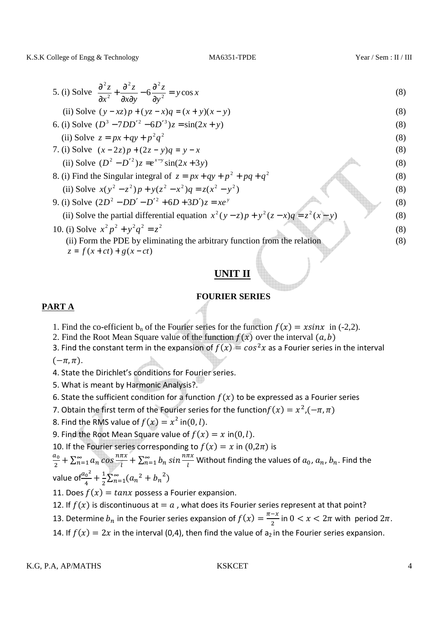K.S.K College of Engg & Technology MA6351-TPDE Year / Sem : II / III

5. (i) Solve 
$$
\frac{\partial^2 z}{\partial x^2} + \frac{\partial^2 z}{\partial x \partial y} - 6 \frac{\partial^2 z}{\partial y^2} = y \cos x
$$
 (8)

(ii) Solve 
$$
(y - xz)p + (yz - x)q = (x + y)(x - y)
$$
 (8)

6. (i) Solve 
$$
(D^3 - 7DD'^2 - 6D'^3)z = \sin(2x + y)
$$
 (8)

(ii) Solve 
$$
z = px + qy + p^2 q^2
$$
  
\n7. (i) Solve  $(x-2z)p + (2z - y)q = y - x$  (8)

(ii) Solve 
$$
(D^2 - D'^2)z = e^{x-y} \sin(2x+3y)
$$

(ii) Solve 
$$
(D^2 - D'^2)z = e^{x-y} \sin(2x+3y)
$$
  
\n8. (i) Find the Singular integral of  $z = px+qy+p^2+pq+q^2$   
\n(ii) Solve  $x(y^2 - z^2)p + y(z^2 - x^2)q = z(x^2 - y^2)$   
\n9. (i) Solve  $(2D^2 - DD' - D'^2 + 6D + 3D')z = xe^y$   
\n(ii) Solve the partial differential equation  $x^2(y-z)p + y^2(z-x)q = z^2(x-y)$  (8)

10. (i) Solve 
$$
x^2 p^2 + y^2 q^2 = z^2
$$
 (8)  
\n(ii) Form the PDE by eliminating the arbitrary function from the relation (8)

 $z = f(x + ct) + g(x - ct)$ 

# **UNIT II**

### **FOURIER SERIES**

### **PART A**

- 1. Find the co-efficient  $b_n$  of the Fourier series for the function  $f(x) = x\sin x$  in (-2,2).
	- 2. Find the Root Mean Square value of the function  $f(x)$  over the interval  $(a, b)$
	- 3. Find the constant term in the expansion of  $f(x) = cos^2x$  as a Fourier series in the interval

 $(-\pi,\pi)$ .

- 4. State the Dirichlet's conditions for Fourier series.
- 5. What is meant by Harmonic Analysis?.
- 6. State the sufficient condition for a function  $f(x)$  to be expressed as a Fourier series
- 7. Obtain the first term of the Fourier series for the function $f(x) = x^2, (-\pi, \pi)$
- 8. Find the RMS value of  $f(x) = x^2$  in(0, l).
- 9. Find the Root Mean Square value of  $f(x) = x$  in $(0, l)$ .
- 10. If the Fourier series corresponding to  $f(x) = x$  in  $(0, 2\pi)$  is

$$
\frac{a_0}{2} + \sum_{n=1}^{\infty} a_n \cos \frac{n\pi x}{l} + \sum_{n=1}^{\infty} b_n \sin \frac{n\pi x}{l}
$$
 Without finding the values of  $a_0$ ,  $a_n$ ,  $b_n$ . Find the value of  $\frac{a_0^2}{4} + \frac{1}{2} \sum_{n=1}^{\infty} (a_n^2 + b_n^2)$ 

11. Does  $f(x) = \tan x$  possess a Fourier expansion.

12. If  $f(x)$  is discontinuous at  $=a$  , what does its Fourier series represent at that point?

13. Determine  $b_n$  in the Fourier series expansion of  $f(x) = \frac{\pi - x}{2}$  $\frac{-x}{2}$  in  $0 < x < 2\pi$  with period  $2\pi$ .

14. If  $f(x) = 2x$  in the interval (0,4), then find the value of  $a_2$  in the Fourier series expansion.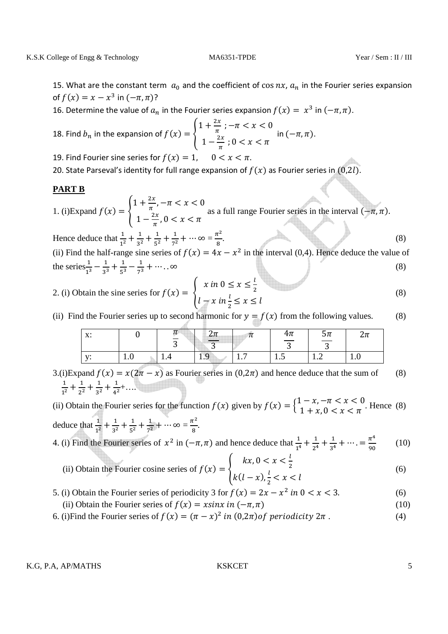15. What are the constant term  $a_0$  and the coefficient of cos  $nx$ ,  $a_n$  in the Fourier series expansion of  $f(x) = x - x^3$  in  $(-\pi, \pi)$ ?

16. Determine the value of  $a_n$  in the Fourier series expansion  $f(x) = x^3$  in  $(-\pi, \pi)$ .

18. Find 
$$
b_n
$$
 in the expansion of  $f(x) = \begin{cases} 1 + \frac{2x}{\pi}; -\pi < x < 0 \\ 1 - \frac{2x}{\pi}; 0 < x < \pi \end{cases}$  in  $(-\pi, \pi)$ .

- 19. Find Fourier sine series for  $f(x) = 1$ ,  $0 < x < \pi$ .
- 20. State Parseval's identity for full range expansion of  $f(x)$  as Fourier series in  $(0,2l)$ .

#### **PART B**

1. (i)Expand  $f(x) = \begin{cases} 1 + \frac{2x}{\pi}, -\pi < x < 0 \\ 1 + \frac{2x}{\pi}, -\pi < x < 0 \end{cases}$  $1 - \frac{2x}{\pi}, 0 < x < \pi$ as a full range Fourier series in the interval  $(-\pi, \pi)$ .

Hence deduce that  $\frac{1}{1^2} + \frac{1}{3^2}$  $rac{1}{3^2} + \frac{1}{5^2}$  $rac{1}{5^2} + \frac{1}{7^2}$  $\frac{1}{7^2} + \cdots \infty = \frac{\pi^2}{8}$ 8  $\tag{8}$ (ii) Find the half-range sine series of  $f(x) = 4x - x^2$  in the interval (0,4). Hence deduce the value of the series  $\frac{1}{1^3} - \frac{1}{3^3} + \frac{1}{5^3} - \frac{1}{7^3} + \cdots$ . ∞ (8)

2. (i) Obtain the sine series for 
$$
f(x) = \begin{cases} x \text{ in } 0 \le x \le \frac{l}{2} \\ l - x \text{ in } \frac{l}{2} \le x \le l \end{cases}
$$
 (8)

(ii) Find the Fourier series up to second harmonic for  $y = f(x)$  from the following values. (8)

| $\mathbf{v}$<br>Λ. |                               | n                             | $\mathcal{L}$ il<br><b>The Contract of the Contract</b><br>$\sim$ | 7 L | $4\pi$<br>$\sim$<br>$\mathbf{\hat{z}}$ | כ $\pi$<br>$\overline{\phantom{a}}$ | تاتى                          |
|--------------------|-------------------------------|-------------------------------|-------------------------------------------------------------------|-----|----------------------------------------|-------------------------------------|-------------------------------|
| $-1$               | $\mathbf{1} \cdot \mathbf{U}$ | $\mathbf{1} \cdot \mathbf{T}$ | 1.9                                                               |     | 1.J                                    | $\overline{1}$ .                    | $\mathbf{1} \cdot \mathbf{U}$ |

3.(i)Expand  $f(x) = x(2\pi - x)$  as Fourier series in  $(0, 2\pi)$  and hence deduce that the sum of (8)  $\frac{1}{1^2} + \frac{1}{2^2} + \frac{1}{3^2} + \frac{1}{4^2}$  $1^2$   $2^2$   $3^2$  4  $\frac{1}{2} + ...$ 

(ii) Obtain the Fourier series for the function  $f(x)$  given by  $f(x) = \begin{cases} 1 - x, -\pi < x < 0 \\ 1 + x, 0 < x < \pi \end{cases}$  $1 + x, 0 < x < \pi$ . Hence (8) deduce that  $\frac{1}{1^2} + \frac{1}{3^2} + \frac{1}{5^2} + \frac{1}{7^2} + \cdots$   $\infty = \frac{\pi^2}{8}$  $\frac{1}{8}$ .

4. (i) Find the Fourier series of 
$$
x^2
$$
 in  $(-\pi, \pi)$  and hence deduce that  $\frac{1}{1^4} + \frac{1}{2^4} + \frac{1}{3^4} + \cdots = \frac{\pi^4}{90}$  (10)

(ii) Obtain the Fourier cosine series of 
$$
f(x) = \begin{cases} kx, & 0 < x < \frac{l}{2} \\ k(l-x), & \frac{l}{2} < x < l \end{cases} \tag{6}
$$

- 5. (i) Obtain the Fourier series of periodicity 3 for  $f(x) = 2x x^2$  in  $0 < x < 3$ . (6)
- (ii) Obtain the Fourier series of  $f(x) = x\sin x$  in  $(-\pi, \pi)$  (10)
- 6. (i) Find the Fourier series of  $f(x) = (\pi x)^2$  in  $(0, 2\pi)$  of periodicity  $2\pi$ . (4)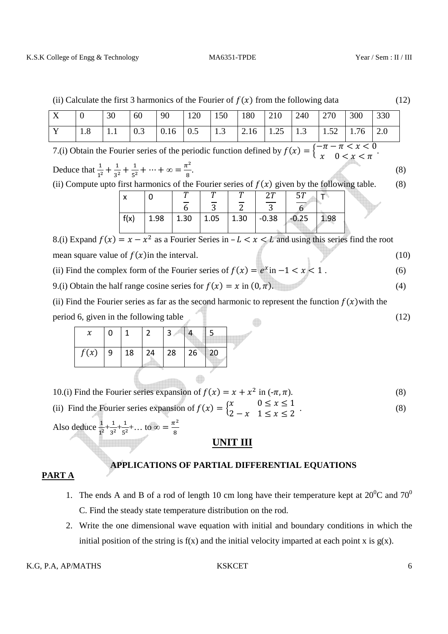| (ii) Calculate the first 3 harmonics of the Fourier of $f(x)$ from the following data                                                              |          |     |      |      |                |                |                |  |                |                |      | (12) |     |  |
|----------------------------------------------------------------------------------------------------------------------------------------------------|----------|-----|------|------|----------------|----------------|----------------|--|----------------|----------------|------|------|-----|--|
| $\boldsymbol{\mathrm{X}}$                                                                                                                          | $\Omega$ | 30  | 60   | 90   | 120            | 150            | 180            |  | 210            | 240            | 270  | 300  | 330 |  |
| Y                                                                                                                                                  | 1.8      | 1.1 | 0.3  | 0.16 | 0.5            | 1.3            | 2.16           |  | 1.25           | 1.3            | 1.52 | 1.76 | 2.0 |  |
| 7.(i) Obtain the Fourier series of the periodic function defined by $f(x) = \begin{cases} -\pi - \pi < x < 0 \\ x \quad 0 < x < \pi \end{cases}$ . |          |     |      |      |                |                |                |  |                |                |      |      |     |  |
| Deduce that $\frac{1}{1^2} + \frac{1}{3^2} + \frac{1}{5^2} + \cdots + \infty = \frac{\pi^2}{8}$ .                                                  |          |     |      |      |                |                |                |  |                |                |      | (8)  |     |  |
| (ii) Compute upto first harmonics of the Fourier series of $f(x)$ given by the following table.<br>(8)                                             |          |     |      |      |                |                |                |  |                |                |      |      |     |  |
|                                                                                                                                                    |          | x   |      | 0    |                |                |                |  | 27             | 57             |      |      |     |  |
|                                                                                                                                                    |          |     |      |      | $\overline{6}$ | $\overline{3}$ | $\overline{2}$ |  | $\overline{3}$ | $\overline{6}$ |      |      |     |  |
|                                                                                                                                                    |          |     | f(x) | 1.98 | 1.30           | 1.05           | 1.30           |  | $-0.38$        | $-0.25$        | 1.98 |      |     |  |
| 8.(i) Expand $f(x) = x - x^2$ as a Fourier Series in $-L < x < L$ and using this series find the root                                              |          |     |      |      |                |                |                |  |                |                |      |      |     |  |
| mean square value of $f(x)$ in the interval.                                                                                                       |          |     |      |      |                |                |                |  |                |                |      | (10) |     |  |
|                                                                                                                                                    |          |     |      |      |                |                |                |  |                |                |      |      |     |  |

- (ii) Find the complex form of the Fourier series of  $f(x) = e^x$  in  $-1 < x < 1$ . (6)
- 9.(i) Obtain the half range cosine series for  $f(x) = x$  in  $(0, \pi)$ . (4)

(ii) Find the Fourier series as far as the second harmonic to represent the function  $f(x)$  with the period 6, given in the following table (12) (12)

|      | 0         |    |    |    |                     |  |
|------|-----------|----|----|----|---------------------|--|
| f(x) | $\vert$ 9 | 18 | 24 | 28 | $\vert 26 \vert 20$ |  |

8

10.(i) Find the Fourier series expansion of  $f(x) = x + x^2$  in  $(-\pi, \pi)$ . (8)

(ii) Find the Fourier series expansion of  $f(x) = \begin{cases} x & 0 \le x \le 1 \\ 2 - x & 1 \le x \le 2 \end{cases}$  $2-x$   $1 \le x \le 2$  (8)

Also deduce  $\frac{1}{1^2} + \frac{1}{3^2}$  $rac{1}{3^2} + \frac{1}{5^2}$  $\frac{1}{5^2} + ...$  to  $\infty = \frac{\pi^2}{8}$ 

### **UNIT III**

# **APPLICATIONS OF PARTIAL DIFFERENTIAL EQUATIONS**

## **PART A**

- 1. The ends A and B of a rod of length 10 cm long have their temperature kept at  $20^0C$  and  $70^0$ C. Find the steady state temperature distribution on the rod.
- 2. Write the one dimensional wave equation with initial and boundary conditions in which the initial position of the string is  $f(x)$  and the initial velocity imparted at each point x is  $g(x)$ .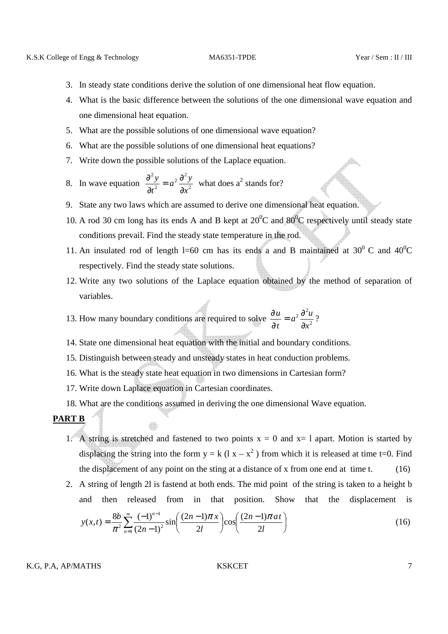- 3. In steady state conditions derive the solution of one dimensional heat flow equation.
- 4. What is the basic difference between the solutions of the one dimensional wave equation and one dimensional heat equation.
- 5. What are the possible solutions of one dimensional wave equation?
- 6. What are the possible solutions of one dimensional heat equations?
- 7. Write down the possible solutions of the Laplace equation.
- 8. In wave equation  $\frac{\partial^2 y}{\partial t^2} = a^2 \frac{\partial^2 y}{\partial x^2}$  $2\,\partial^2$ 2 2 *x*  $a^2 \frac{\partial^2 y}{\partial x^2}$ *t y* ∂  $= a^2 \frac{\partial}{\partial x^2}$ ∂  $\frac{\partial^2 y}{\partial x^2} = a^2 \frac{\partial^2 y}{\partial x^2}$  what does a<sup>2</sup> stands for?
- 9. State any two laws which are assumed to derive one dimensional heat equation.
- 10. A rod 30 cm long has its ends A and B kept at  $20^{\circ}$ C and  $80^{\circ}$ C respectively until steady state conditions prevail. Find the steady state temperature in the rod.
- 11. An insulated rod of length l=60 cm has its ends a and B maintained at  $30^0$  C and  $40^0$ C respectively. Find the steady state solutions.
- 12. Write any two solutions of the Laplace equation obtained by the method of separation of variables.
- 13. How many boundary conditions are required to solve  $\frac{\partial u}{\partial t} = a^2 \frac{\partial u}{\partial x^2}$  $2\,\partial^2$ *x*  $a^2\frac{\partial^2 u}{\partial x^2}$ *t u* ∂  $= a^2 \frac{\partial}{\partial x^2}$ ∂  $\frac{\partial u}{\partial x} = a^2 \frac{\partial^2 u}{\partial x^2}$ ?
- 14. State one dimensional heat equation with the initial and boundary conditions.
- 15. Distinguish between steady and unsteady states in heat conduction problems.
- 16. What is the steady state heat equation in two dimensions in Cartesian form?
- 17. Write down Laplace equation in Cartesian coordinates.
- 18. What are the conditions assumed in deriving the one dimensional Wave equation.

#### **PART B**

- 1. A string is stretched and fastened to two points  $x = 0$  and  $x = 1$  apart. Motion is started by displacing the string into the form  $y = k (l x - x^2)$  from which it is released at time t=0. Find the displacement of any point on the sting at a distance of x from one end at time t.  $(16)$
- 2. A string of length 2l is fastend at both ends. The mid point of the string is taken to a height b and then released from in that position. Show that the displacement is

$$
y(x,t) = \frac{8b}{\pi^2} \sum_{n=1}^{\infty} \frac{(-1)^{n-1}}{(2n-1)^2} \sin\left(\frac{(2n-1)\pi x}{2l}\right) \cos\left(\frac{(2n-1)\pi a t}{2l}\right)
$$
(16)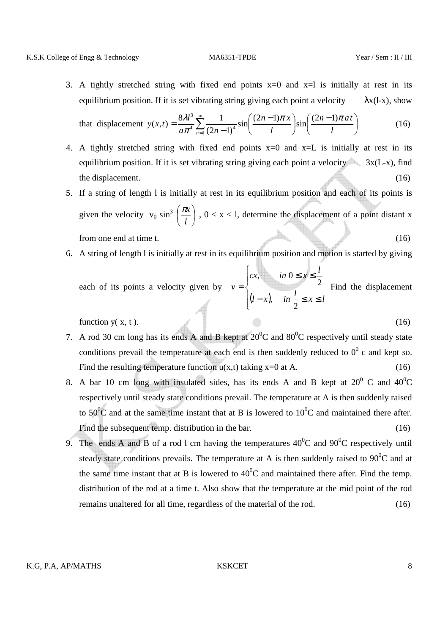3. A tightly stretched string with fixed end points  $x=0$  and  $x=1$  is initially at rest in its equilibrium position. If it is set vibrating string giving each point a velocity  $\lambda x(l-x)$ , show

that displacement 
$$
y(x,t) = \frac{8\lambda l^3}{a\pi^4} \sum_{n=1}^{\infty} \frac{1}{(2n-1)^4} \sin\left(\frac{(2n-1)\pi x}{l}\right) \sin\left(\frac{(2n-1)\pi a t}{l}\right)
$$
 (16)

- 4. A tightly stretched string with fixed end points  $x=0$  and  $x=L$  is initially at rest in its equilibrium position. If it is set vibrating string giving each point a velocity  $\sim$  3x(L-x), find the displacement. (16) (16) the displacement.
- 5. If a string of length l is initially at rest in its equilibrium position and each of its points is given the velocity  $v_0 \sin^3 \left( \frac{\pi x}{l} \right)$ J  $\left(\frac{\pi x}{\pi}\right)$ l ſ *l*  $\left(\frac{\pi x}{x}\right)$ ,  $0 < x < 1$ , determine the displacement of a point distant x from one end at time t. (16) (16)
- 6. A string of length l is initially at rest in its equilibrium position and motion is started by giving

each of its points a velocity given by 
$$
v = \begin{cases} cx, & \text{in } 0 \le x \le \frac{l}{2} \\ (l-x), & \text{in } \frac{l}{2} \le x \le l \end{cases}
$$
 Find the displacement

 $\sqrt{ }$ 

function  $y(x, t)$ . (16)

- 7. A rod 30 cm long has its ends A and B kept at  $20^{\circ}$ C and  $80^{\circ}$ C respectively until steady state conditions prevail the temperature at each end is then suddenly reduced to  $0^0$  c and kept so. Find the resulting temperature function  $u(x,t)$  taking  $x=0$  at A. (16)
- 8. A bar 10 cm long with insulated sides, has its ends A and B kept at  $20^{\circ}$  C and  $40^{\circ}$ C respectively until steady state conditions prevail. The temperature at A is then suddenly raised to 50<sup>o</sup>C and at the same time instant that at B is lowered to 10<sup>o</sup>C and maintained there after. Find the subsequent temp. distribution in the bar. (16)
- 9. The ends A and B of a rod 1 cm having the temperatures  $40^{\circ}$ C and  $90^{\circ}$ C respectively until steady state conditions prevails. The temperature at A is then suddenly raised to  $90^0C$  and at the same time instant that at B is lowered to  $40^{\circ}$ C and maintained there after. Find the temp. distribution of the rod at a time t. Also show that the temperature at the mid point of the rod remains unaltered for all time, regardless of the material of the rod. (16)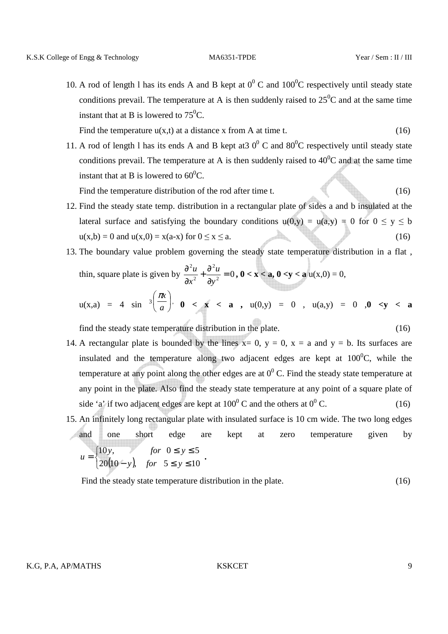10. A rod of length l has its ends A and B kept at  $0^0$  C and  $100^0$ C respectively until steady state conditions prevail. The temperature at A is then suddenly raised to  $25^{\circ}$ C and at the same time instant that at B is lowered to  $75^0C$ .

Find the temperature  $u(x,t)$  at a distance x from A at time t. (16)

11. A rod of length l has its ends A and B kept at 30<sup>0</sup> C and 80<sup>0</sup>C respectively until steady state conditions prevail. The temperature at A is then suddenly raised to  $40^{\circ}$ C and at the same time instant that at B is lowered to  $60^{\circ}$ C.

Find the temperature distribution of the rod after time t. (16)

- 12. Find the steady state temp. distribution in a rectangular plate of sides a and b insulated at the lateral surface and satisfying the boundary conditions  $u(0,y) = u(a,y) = 0$  for  $0 \le y \le b$  $u(x,b) = 0$  and  $u(x,0) = x(a-x)$  for  $0 \le x \le a$ . (16)
- 13. The boundary value problem governing the steady state temperature distribution in a flat , thin, square plate is given by  $\frac{9a}{2x^2} + \frac{9a}{2x^2} = 0$ 2 2 2 = ∂  $+\frac{6}{9}$ ∂ ∂ *y u x*  $\frac{u}{2} + \frac{\partial^2 u}{\partial x^2} = 0$ ,  $0 < x < a$ ,  $0 < y < a$  u(x,0) = 0,

$$
u(x,a) = 4 \sin^{-3}\left(\frac{\pi x}{a}\right), \quad 0 < x < a \quad , \quad u(0,y) = 0 \quad , \quad u(a,y) = 0 \quad , 0 < y < a
$$

find the steady state temperature distribution in the plate. (16)

- 14. A rectangular plate is bounded by the lines  $x= 0$ ,  $y = 0$ ,  $x = a$  and  $y = b$ . Its surfaces are insulated and the temperature along two adjacent edges are kept at  $100^{\circ}$ C, while the temperature at any point along the other edges are at  $0^0$  C. Find the steady state temperature at any point in the plate. Also find the steady state temperature at any point of a square plate of side 'a' if two adjacent edges are kept at  $100^0$  C and the others at  $0^0$  $(16)$
- 15. An infinitely long rectangular plate with insulated surface is 10 cm wide. The two long edges and one short edge are kept at zero temperature given by  $\left( \frac{1}{20(10-y)} \right)$  $\int$  $-y$ , for 5 ≤ y ≤  $\leq$  y  $\leq$ =  $20(10-y)$ , for  $5 \le y \le 10$ 10y, for  $0 \le y \le 5$ *y*), for  $5 \le y$ *y*, for  $0 \le y$  $u = \begin{cases} 1 & \text{if } 0 & \text{if } 0 & \text{if } 0 & \text{if } 0 & \text{if } 0 & \text{if } 0 & \text{if } 0 & \text{if } 0 & \text{if } 0 & \text{if } 0 & \text{if } 0 & \text{if } 0 & \text{if } 0 & \text{if } 0 & \text{if } 0 & \text{if } 0 & \text{if } 0 & \text{if } 0 & \text{if } 0 & \text{if } 0 & \text{if } 0 & \text{if } 0 & \text{if } 0 & \text{if } 0 & \text{if } 0 & \text{if } 0 & \text$

Find the steady state temperature distribution in the plate. (16)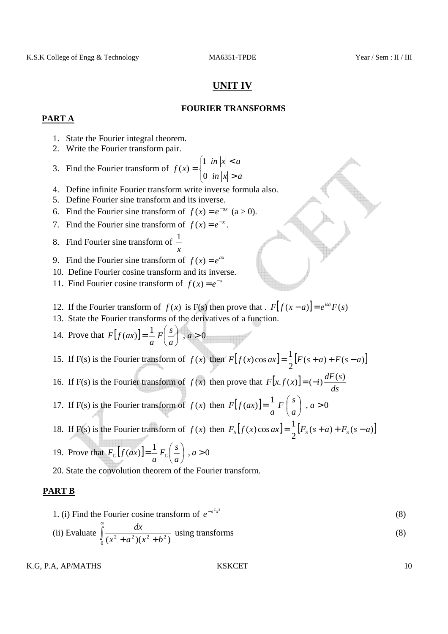# **UNIT IV**

### **FOURIER TRANSFORMS**

### **PART A**

- 1. State the Fourier integral theorem.
- 2. Write the Fourier transform pair.
- 3. Find the Fourier transform of  $f(x) = \begin{cases} \frac{1}{x} & \text{if } x \neq 0 \\ 0 & \text{if } x = 0 \end{cases}$ ∤  $\int$ >  $\lt$ = *in*  $|x| > a$  $in |x| < a$ *xf* 0 1  $(x)$
- 4. Define infinite Fourier transform write inverse formula also.
- 5. Define Fourier sine transform and its inverse.
- 6. Find the Fourier sine transform of  $f(x) = e^{-ax}$  (a > 0).
- 7. Find the Fourier sine transform of  $f(x) = e^{-x}$ .
- 8. Find Fourier sine transform of *x* 1
- 9. Find the Fourier sine transform of  $f(x) = e^{ax}$
- 10. Define Fourier cosine transform and its inverse.
- 11. Find Fourier cosine transform of  $f(x) = e^{-x}$
- 12. If the Fourier transform of  $f(x)$  is F(s) then prove that .  $F[f(x-a)] = e^{isa}F(s)$
- 13. State the Fourier transforms of the derivatives of a function.
- 14. Prove that  $F[f(ax)] = \frac{1}{2} F\left(\frac{s}{2}\right)$ ,  $a > 0$ J  $\left(\frac{s}{s}\right)$ l  $=\frac{1}{2}F\left(\frac{s}{a}\right)$ , a *a*  $F\left(\frac{s}{2}\right)$ *a*  $F[f(ax$
- 15. If F(s) is the Fourier transform of  $f(x)$  then  $F[f(x)\cos ax] = \frac{1}{2} [F(s+a) + F(s-a)]$ 2  $F[f(x)\cos ax] = \frac{1}{2}[F(s+a) + F(s-a)]$
- 16. If F(s) is the Fourier transform of  $f(x)$  then prove that  $F[x, f(x)]$ *ds*  $F[x.f(x)] = (-i) \frac{dF(s)}{f(s)}$
- 17. If F(s) is the Fourier transform of  $f(x)$  then  $F[f(ax)] = \frac{1}{x} F\left(\frac{s}{x}\right)$ ,  $a > 0$ J  $\left(\frac{s}{s}\right)$ l  $=\frac{1}{a}F\left(\frac{s}{a}\right)$ , a *a*  $F\left(\frac{s}{2}\right)$ *a*  $F[f(ax$
- 18. If F(s) is the Fourier transform of  $f(x)$  then  $F_s[f(x)\cos ax] = \frac{1}{2} [F_s(s+a) + F_s(s-a)]$  $F_s[f(x)\cos ax] = \frac{1}{2}[F_s(s+a) + F_s(s-a)]$

19. Prove that 
$$
F_c[f(ax)] = \frac{1}{a} F_c\left(\frac{s}{a}\right)
$$
,  $a > 0$ 

20. State the convolution theorem of the Fourier transform.

### **PART B**

- 1. (i) Find the Fourier cosine transform of  $e^{-a^2x^2}$ (8)
- (ii) Evaluate  $\int$  $\int_0^1 (x^2 + a^2)(x^2 + b^2)$  $\frac{dx}{(8)}$  using transforms (8)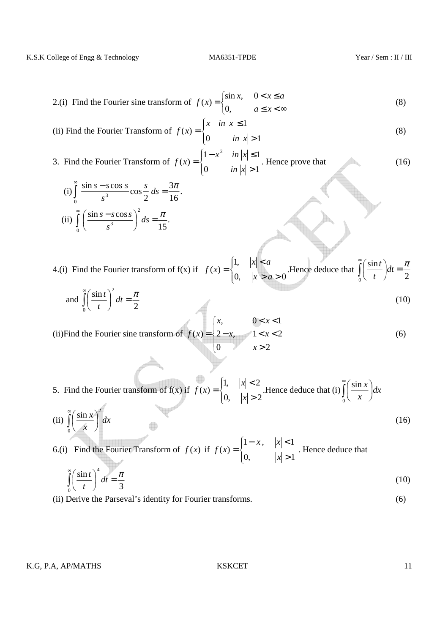2.(i) Find the Fourier sine transform of 
$$
f(x) = \begin{cases} \sin x, & 0 < x \le a \\ 0, & a \le x < \infty \end{cases}
$$
 (8)

(ii) Find the Fourier Transform of 
$$
f(x) = \begin{cases} x & \text{in } |x| \le 1 \\ 0 & \text{in } |x| > 1 \end{cases}
$$
 (8)

3. Find the Fourier Transform of 
$$
f(x) = \begin{cases} 1 - x^2 & \text{in } |x| \le 1 \\ 0 & \text{in } |x| > 1 \end{cases}
$$
. Hence prove that (16)

(i) 
$$
\int_{0}^{\infty} \frac{\sin s - s \cos s}{s^3} \cos \frac{s}{2} ds = \frac{3\pi}{16}.
$$
  
(ii) 
$$
\int_{0}^{\infty} \left( \frac{\sin s - s \cos s}{s^3} \right)^2 ds = \frac{\pi}{15}.
$$

4.(i) Find the Fourier transform of  $f(x)$  if  $f(x) = \begin{cases} 1 & \text{if } x \neq 0 \\ 0 & \text{if } x = 0 \end{cases}$  $\overline{ }$ ∤  $\int$  $> a >$  $\prec$ = 0,  $|x| > a > 0$ ,1  $(x)$  $x > a$  $f(x) =\begin{cases} 1, & |x| < a \\ 0, & |x| > a > 0 \end{cases}$ . Hence deduce that  $\int_a^b$  $dt =$ J  $\left(\frac{\sin t}{\cos t}\right)$ l ſ  $\int_0^1(t) dt$  2  $\frac{\sin t}{t}$   $dt = \frac{\pi}{2}$ *t t*

and 
$$
\int_{0}^{\infty} \left(\frac{\sin t}{t}\right)^2 dt = \frac{\pi}{2}
$$
 (10)

(ii)Find the Fourier sine transform of  $\overline{\mathcal{L}}$  $\mathbf{I}$ ┤  $\int$ >  $-x,$   $1 < x <$  $\leq x <$ = 0  $x>2$  $2-x, \quad 1 < x < 2$  $, \qquad 0 < x < 1$  $(x)$ *x*  $x, \quad 1 < x$  $x, \qquad 0 < x$  $f(x) = \{2-x, \quad 1 < x < 2$  (6)

5. Find the Fourier transform of  $f(x)$  if  $f(x) = \begin{cases} \frac{1}{x} & \text{if } x \neq 0 \\ 0 & \text{otherwise} \end{cases}$ ∤  $\int$ >  $\lt$ = 0,  $|x| > 2$ 1,  $|x| < 2$  $(x)$ *x*  $f(x) =\begin{cases} 1, & |x| < 2 \\ 0, & |x| > 2 \end{cases}$ . Hence deduce that (i)  $\int_a^b$  $\overline{\phantom{a}}$ J  $\left(\frac{\sin x}{x}\right)$ l ſ  $\mathbf{0}$  $\frac{\sin x}{x}dx$ *x x*

(ii) 
$$
\int_{0}^{\infty} \left(\frac{\sin x}{x}\right)^{2} dx
$$
 (16)

6.(i) Find the Fourier Transform of  $f(x)$  if  $f(x) = \begin{cases} 1 & \text{if } x \neq 0 \\ 0 & \text{if } x = 0 \end{cases}$ ∤ >  $-|x|, |x| <$ = 0,  $|x| > 1$  $1 - |x|, \quad |x| < 1$  $(x)$ *x*  $x$ ,  $x$  $f(x) = \begin{cases} 1 & \text{if } x \neq 0 \\ 1 & \text{if } x = 0 \end{cases}$ . Hence deduce that

$$
\int_{0}^{\infty} \left(\frac{\sin t}{t}\right)^4 dt = \frac{\pi}{3}
$$
 (10)

(ii) Derive the Parseval's identity for Fourier transforms. (6)

K.G, P.A, AP/MATHS KSKCET 11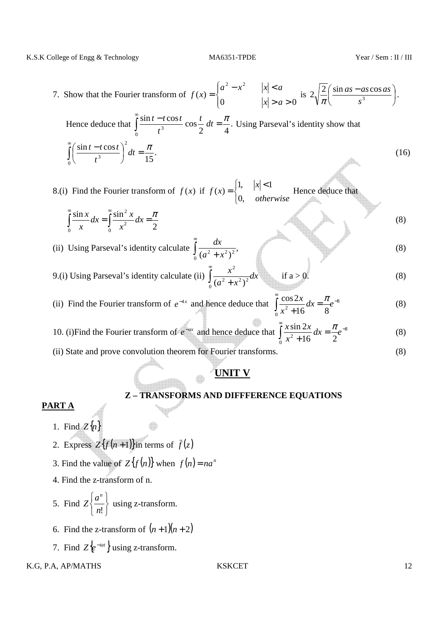K.S.K College of Engg & Technology MA6351-TPDE Year / Sem : II / III

7. Show that the Fourier transform of  $\overline{\mathcal{L}}$  $\overline{ }$ ∤  $\int$  $> a >$  $-x^2$   $|x|$  < = 0  $|x| > a > 0$  $(x)$ 2  $\sim$  2  $|x| > a$  $a^2 - x^2$   $|x| < a$  $f(x) = \begin{cases} \sin \theta & \text{if } 2\sqrt{-1} \frac{\sin \theta + \cos \theta}{2} & \text{if } 3\sqrt{-1} \end{cases}$ J  $\frac{\sin as - as \cos as}{a}$ l  $\int$  sin *as* –  $2\sqrt{\frac{2}{\pi}}\left(\frac{\sin as - as \cos \theta}{\sin \theta}\right)$ *s as as as*  $rac{2}{\pi} \left( \frac{\sin \alpha s - \alpha s \cos \alpha s}{s^3} \right)$ .

Hence deduce that  $\int_{0}^{\frac{\pi}{2}} \frac{\sin t - t \cos t}{t^2} \cos \frac{t}{2} dt = \frac{\pi}{4}.$ 2 4  $\frac{\sin t - t \cos t}{t} \cos t$  $\mathbf{0}$ 3  $\int_{0}^{\infty} \frac{\sin t - t \cos t}{t^3} \cos \frac{t}{2} dt = \frac{\pi}{4}$ *t*  $\frac{t-t\cos t}{t^3}\cos\frac{t}{\cos t}dt=\frac{\pi}{t}$ . Using Parseval's identity show that . 15  $\sin t - t \cos$ 0 2 3  $\int dt = \frac{\pi}{4\pi}$ J  $\left(\frac{\sin t - t \cos t}{2}\right)$ l  $\int_{0}^{\infty}\left(\frac{\sin t - t}{t}\right)$ *dt t*  $t - t \cos t$ (16)

8.(i) Find the Fourier transform of  $f(x)$  if  $\overline{\mathcal{L}}$ ∤  $\begin{vmatrix} 1, & |x| \leq 1 \end{vmatrix}$ = *otherwise x xf* ,0 1,  $|x| < 1$  $f(x) = \begin{cases}$   $\begin{cases} 1 \\ 1 \end{cases}$  Hence deduce that

- $\int_{0}^{\infty} \frac{\sin x}{x} dx = \int_{0}^{\infty} \frac{\sin x}{x} dx$  $=\frac{\sin x}{2}dx=$ 0  $\lambda$  0 2 2 2  $\frac{\sin x}{\cos x}dx = \int_{0}^{\infty} \frac{\sin^2 x}{x}dx = \frac{\pi}{2}$ *x*  $dx = \int_0^\infty \frac{\sin^2 x}{2} dx$ *x x* (8)
- (ii) Using Parseval's identity calculate  $\frac{ax}{(x^2+y^2)^2}$ ,  $\int_0^1 (a^2 + x^2)$  $\int_{0}^{\infty} \frac{dx}{(a^2 + x^2)^2}$  $a^2 + x$  $\frac{dx}{dx}$  (8)  $\int_{0}^{\infty} \frac{x}{\sqrt{a^2+1}}$ 2 if  $a > 0$ . (8)
- 9.(i) Using Parseval's identity calculate (ii)  $\int_{0}^{1} \frac{x}{(x^2-2x^2)} dx$  $a^2 + x$  $\int_0^1 (a^2 + x^2)^2$  $(a^2 + x^2)$
- (ii) Find the Fourier transform of  $e^{-4x}$  and hence deduce that  $\int_{0}^{1} \frac{\cos 2x}{\cos 2x} dx = \frac{\pi}{2}e^{-8}$ 0  $^{2}+16$   $8$  $\int \frac{\cos 2x}{x^2 + 16} dx = \frac{\pi}{8}e^{-\frac{1}{2}}$ +  $dx = \frac{h}{c}e$ *x*  $x$ <sup>1</sup>  $\pi$ (8)
- 10. (i) Find the Fourier transform of  $e^{-ax}$  and hence deduce that  $\int_{0}^{1} \frac{x \sin 2x}{x^2} dx = \frac{\pi}{2}e^{-8}$ 0  $^{2}+16$   $^{2}$  2  $\int \frac{x \sin 2x}{x^2 + 16} dx = \frac{\pi}{2} e^{-\frac{1}{2}}$ +  $dx = \frac{h}{e}e$ *x*  $x \sin 2x$  *π* (8)
- (ii) State and prove convolution theorem for Fourier transforms. (8)

# **UNIT V**

### **Z – TRANSFORMS AND DIFFFERENCE EQUATIONS**

#### **PART A**

- 1. Find  $Z\{n\}$
- 2. Express  $Z{f(n+1)}$  in terms of  $\bar{f}(z)$
- 3. Find the value of  $Z{f(n)}$  when  $f(n) = na^n$
- 4. Find the z-transform of n.
- 5. Find J  $\left\{ \right\}$ 儿  $\overline{\mathcal{L}}$ ∤  $\int$ *n*!  $Z \Big\{ \frac{a}{2}$ *n* using z-transform.
- 6. Find the z-transform of  $(n+1)(n+2)$
- 7. Find  $Z \{e^{-iat}\}\$ using z-transform.

#### K.G, P.A, AP/MATHS 622 12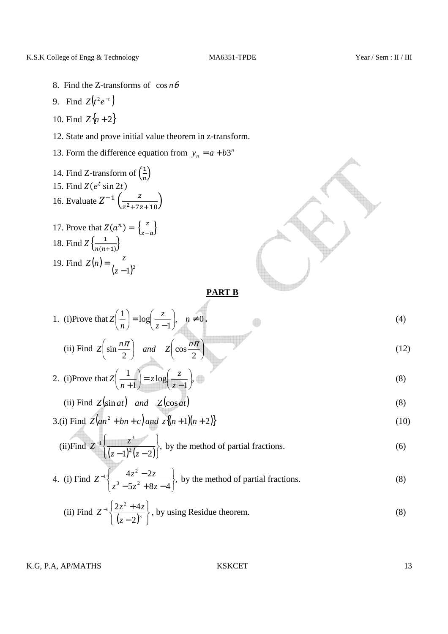$\overline{\phantom{a}}$ 

- 8. Find the Z-transforms of  $\cos n\theta$
- 9. Find  $Z(t^2 e^{-t})$
- 10. Find  $Z{n+2}$
- 12. State and prove initial value theorem in z-transform.
- 13. Form the difference equation from  $y_n = a + b3^n$

14. Find Z-transform of 
$$
\left(\frac{1}{n}\right)
$$
  
\n15. Find Z(e<sup>t</sup> sin 2t)  
\n16. Evaluate  $Z^{-1}\left(\frac{z}{z^2+7z+10}\right)$   
\n17. Prove that  $Z(a^n) = \left\{\frac{z}{z-a}\right\}$   
\n18. Find  $Z\left\{\frac{1}{n(n+1)}\right\}$   
\n19. Find  $Z(n) = \frac{z}{(z-1)^2}$ 

### **PART B**

1. (i)Prove that 
$$
Z\left(\frac{1}{n}\right) = \log\left(\frac{z}{z-1}\right)
$$
,  $n \neq 0$ .  
\n(ii) Find  $Z\left(\sin\frac{n\pi}{2}\right)$  and  $Z\left(\cos\frac{n\pi}{2}\right)$  (12)

2. (i)Prove that 
$$
Z\left(\frac{1}{n+1}\right) = z \log\left(\frac{z}{z-1}\right)
$$
, (8)

(ii) Find 
$$
Z(\sin at)
$$
 and  $Z(\cos at)$  (8)

3.(i) Find 
$$
Z(an^2 + bn + c)
$$
 and  $z\{(n+1)(n+2)\}$  (10)

(ii) Find 
$$
Z^{-1}\left\{\frac{z^3}{(z-1)^2(z-2)}\right\}
$$
, by the method of partial fractions. (6)

4. (i) Find 
$$
Z^{-1}\left\{\frac{4z^2-2z}{z^3-5z^2+8z-4}\right\}
$$
, by the method of partial fractions. (8)

(ii) Find 
$$
Z^{-1}\left\{\frac{2z^2+4z}{(z-2)^3}\right\}
$$
, by using Residue theorem. (8)